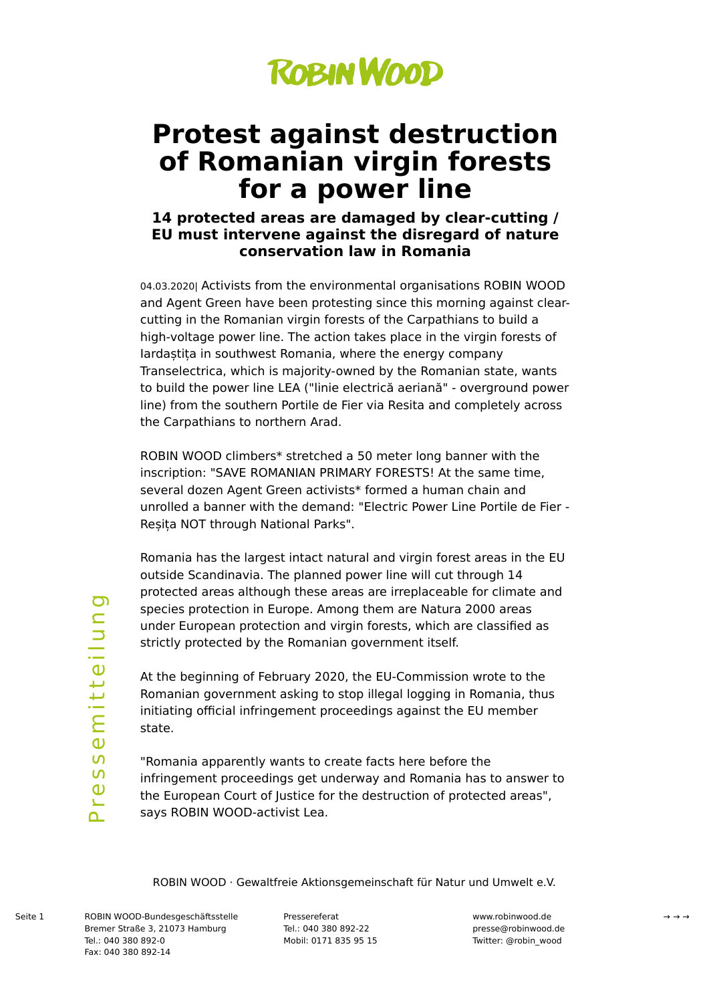

# **Protest against destruction of Romanian virgin forests for a power line**

## **14 protected areas are damaged by clear-cutting / EU must intervene against the disregard of nature conservation law in Romania**

04.03.2020| Activists from the environmental organisations ROBIN WOOD and Agent Green have been protesting since this morning against clearcutting in the Romanian virgin forests of the Carpathians to build a high-voltage power line. The action takes place in the virgin forests of Iardaștița in southwest Romania, where the energy company Transelectrica, which is majority-owned by the Romanian state, wants to build the power line LEA ("linie electrică aeriană" - overground power line) from the southern Portile de Fier via Resita and completely across the Carpathians to northern Arad.

ROBIN WOOD climbers\* stretched a 50 meter long banner with the inscription: "SAVE ROMANIAN PRIMARY FORESTS! At the same time, several dozen Agent Green activists\* formed a human chain and unrolled a banner with the demand: "Electric Power Line Portile de Fier - Reșița NOT through National Parks".

Romania has the largest intact natural and virgin forest areas in the EU outside Scandinavia. The planned power line will cut through 14 protected areas although these areas are irreplaceable for climate and species protection in Europe. Among them are Natura 2000 areas under European protection and virgin forests, which are classified as strictly protected by the Romanian government itself.

At the beginning of February 2020, the EU-Commission wrote to the Romanian government asking to stop illegal logging in Romania, thus initiating official infringement proceedings against the EU member state.

"Romania apparently wants to create facts here before the infringement proceedings get underway and Romania has to answer to the European Court of Justice for the destruction of protected areas", says ROBIN WOOD-activist Lea.

ROBIN WOOD · Gewaltfreie Aktionsgemeinschaft für Natur und Umwelt e.V.

ටා

ROBIN WOOD-Bundesgeschäftsstelle Seite 1 → → →Bremer Straße 3, 21073 Hamburg Tel.: 040 380 892-0 Fax: 040 380 892-14

Pressereferat Tel.: 040 380 892-22 Mobil: 0171 835 95 15

www.robinwood.de presse@robinwood.de Twitter: @robin\_wood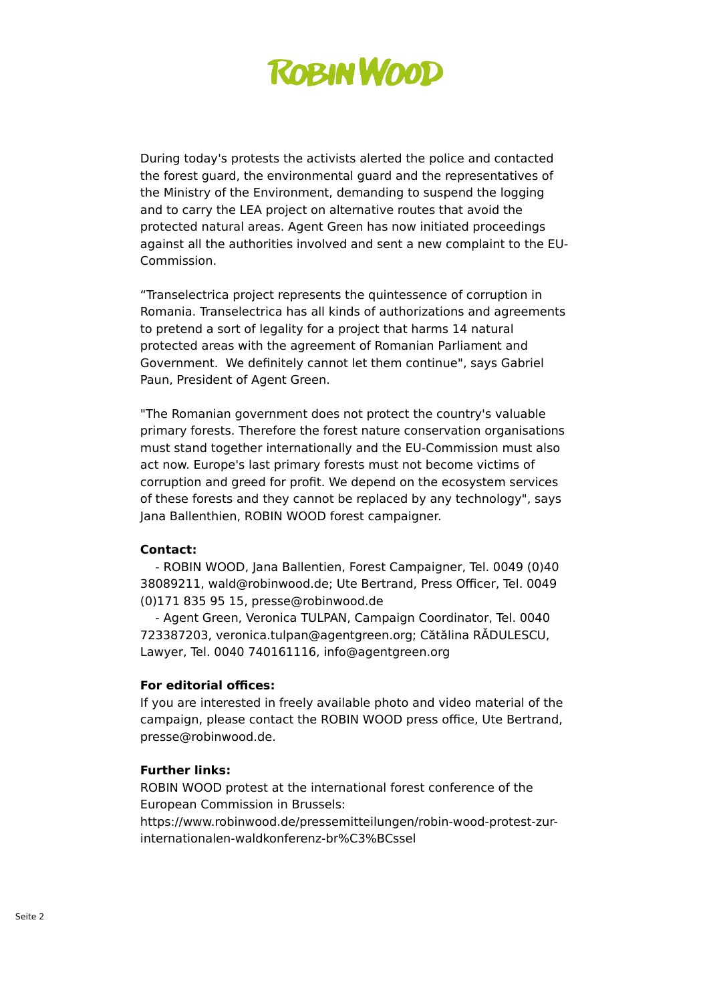

During today's protests the activists alerted the police and contacted the forest guard, the environmental guard and the representatives of the Ministry of the Environment, demanding to suspend the logging and to carry the LEA project on alternative routes that avoid the protected natural areas. Agent Green has now initiated proceedings against all the authorities involved and sent a new complaint to the EU-Commission.

"Transelectrica project represents the quintessence of corruption in Romania. Transelectrica has all kinds of authorizations and agreements to pretend a sort of legality for a project that harms 14 natural protected areas with the agreement of Romanian Parliament and Government. We definitely cannot let them continue", says Gabriel Paun, President of Agent Green.

"The Romanian government does not protect the country's valuable primary forests. Therefore the forest nature conservation organisations must stand together internationally and the EU-Commission must also act now. Europe's last primary forests must not become victims of corruption and greed for profit. We depend on the ecosystem services of these forests and they cannot be replaced by any technology", says Jana Ballenthien, ROBIN WOOD forest campaigner.

#### **Contact:**

 - ROBIN WOOD, Jana Ballentien, Forest Campaigner, Tel. 0049 (0)40 38089211, wald@robinwood.de; Ute Bertrand, Press Officer, Tel. 0049 (0)171 835 95 15, presse@robinwood.de

 - Agent Green, Veronica TULPAN, Campaign Coordinator, Tel. 0040 723387203, veronica.tulpan@agentgreen.org; Cătălina RĂDULESCU, Lawyer, Tel. 0040 740161116, info@agentgreen.org

### **For editorial offices:**

If you are interested in freely available photo and video material of the campaign, please contact the ROBIN WOOD press office, Ute Bertrand, presse@robinwood.de.

#### **Further links:**

ROBIN WOOD protest at the international forest conference of the European Commission in Brussels: https://www.robinwood.de/pressemitteilungen/robin-wood-protest-zur-

internationalen-waldkonferenz-br%C3%BCssel